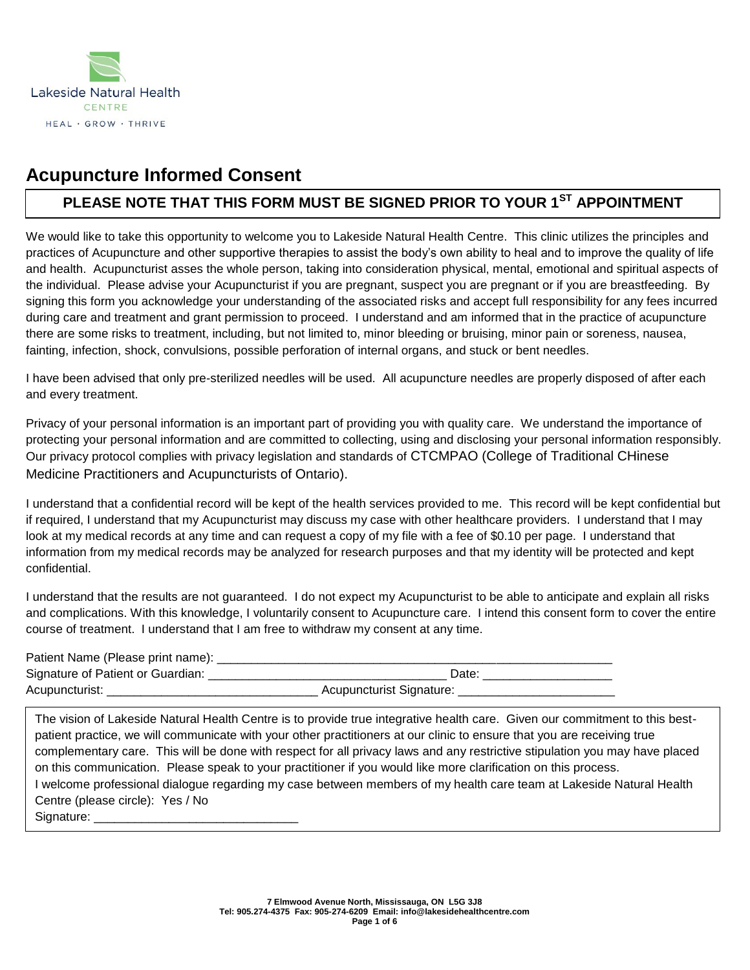

# **Acupuncture Informed Consent**

# **PLEASE NOTE THAT THIS FORM MUST BE SIGNED PRIOR TO YOUR 1ST APPOINTMENT**

We would like to take this opportunity to welcome you to Lakeside Natural Health Centre. This clinic utilizes the principles and practices of Acupuncture and other supportive therapies to assist the body's own ability to heal and to improve the quality of life and health. Acupuncturist asses the whole person, taking into consideration physical, mental, emotional and spiritual aspects of the individual. Please advise your Acupuncturist if you are pregnant, suspect you are pregnant or if you are breastfeeding. By signing this form you acknowledge your understanding of the associated risks and accept full responsibility for any fees incurred during care and treatment and grant permission to proceed. I understand and am informed that in the practice of acupuncture there are some risks to treatment, including, but not limited to, minor bleeding or bruising, minor pain or soreness, nausea, fainting, infection, shock, convulsions, possible perforation of internal organs, and stuck or bent needles.

I have been advised that only pre-sterilized needles will be used. All acupuncture needles are properly disposed of after each and every treatment.

Privacy of your personal information is an important part of providing you with quality care. We understand the importance of protecting your personal information and are committed to collecting, using and disclosing your personal information responsibly. Our privacy protocol complies with privacy legislation and standards of CTCMPAO (College of Traditional CHinese Medicine Practitioners and Acupuncturists of Ontario).

I understand that a confidential record will be kept of the health services provided to me. This record will be kept confidential but if required, I understand that my Acupuncturist may discuss my case with other healthcare providers. I understand that I may look at my medical records at any time and can request a copy of my file with a fee of \$0.10 per page. I understand that information from my medical records may be analyzed for research purposes and that my identity will be protected and kept confidential.

I understand that the results are not guaranteed. I do not expect my Acupuncturist to be able to anticipate and explain all risks and complications. With this knowledge, I voluntarily consent to Acupuncture care. I intend this consent form to cover the entire course of treatment. I understand that I am free to withdraw my consent at any time.

| Patient Name (Please print name): |                          |
|-----------------------------------|--------------------------|
| Signature of Patient or Guardian: | Date:                    |
| Acupuncturist:                    | Acupuncturist Signature: |
|                                   |                          |

The vision of Lakeside Natural Health Centre is to provide true integrative health care. Given our commitment to this bestpatient practice, we will communicate with your other practitioners at our clinic to ensure that you are receiving true complementary care. This will be done with respect for all privacy laws and any restrictive stipulation you may have placed on this communication. Please speak to your practitioner if you would like more clarification on this process. I welcome professional dialogue regarding my case between members of my health care team at Lakeside Natural Health Centre (please circle): Yes / No Signature: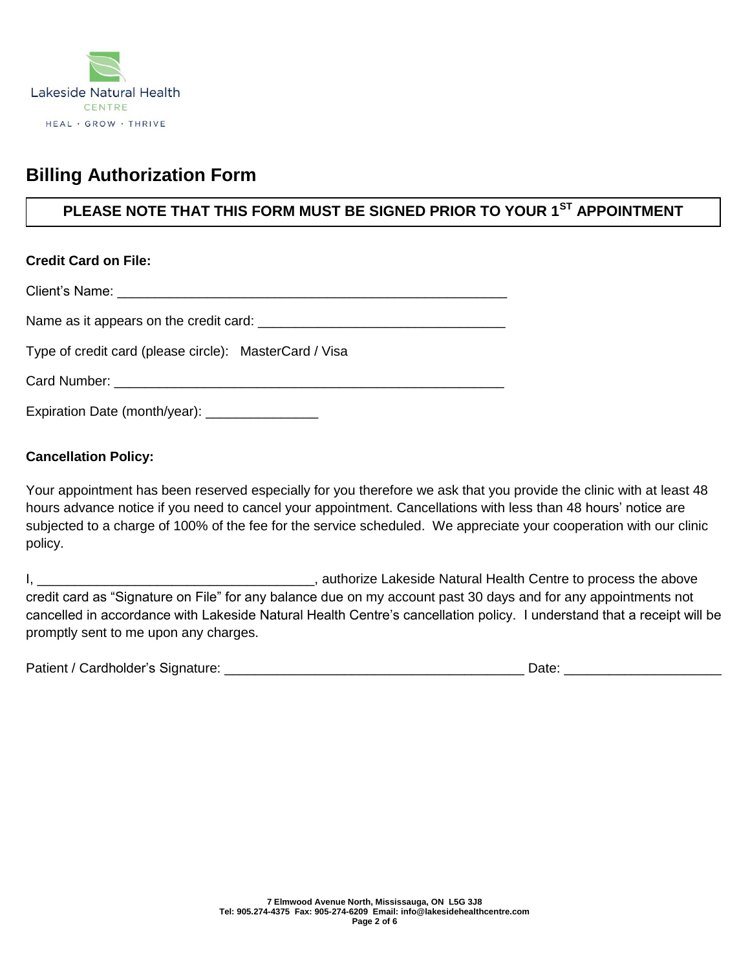

# **Billing Authorization Form**

# **PLEASE NOTE THAT THIS FORM MUST BE SIGNED PRIOR TO YOUR 1ST APPOINTMENT**

| <b>Credit Card on File:</b>                            |
|--------------------------------------------------------|
|                                                        |
|                                                        |
| Type of credit card (please circle): MasterCard / Visa |
|                                                        |
| Expiration Date (month/year): _________________        |

### **Cancellation Policy:**

Your appointment has been reserved especially for you therefore we ask that you provide the clinic with at least 48 hours advance notice if you need to cancel your appointment. Cancellations with less than 48 hours' notice are subjected to a charge of 100% of the fee for the service scheduled. We appreciate your cooperation with our clinic policy.

I, \_\_\_\_\_\_\_\_\_\_\_\_\_\_\_\_\_\_\_\_\_\_\_\_\_\_\_\_\_\_\_\_\_\_\_\_\_, authorize Lakeside Natural Health Centre to process the above credit card as "Signature on File" for any balance due on my account past 30 days and for any appointments not cancelled in accordance with Lakeside Natural Health Centre's cancellation policy. I understand that a receipt will be promptly sent to me upon any charges.

| Patient / Cardholder's Signature: | Date |  |
|-----------------------------------|------|--|
|                                   |      |  |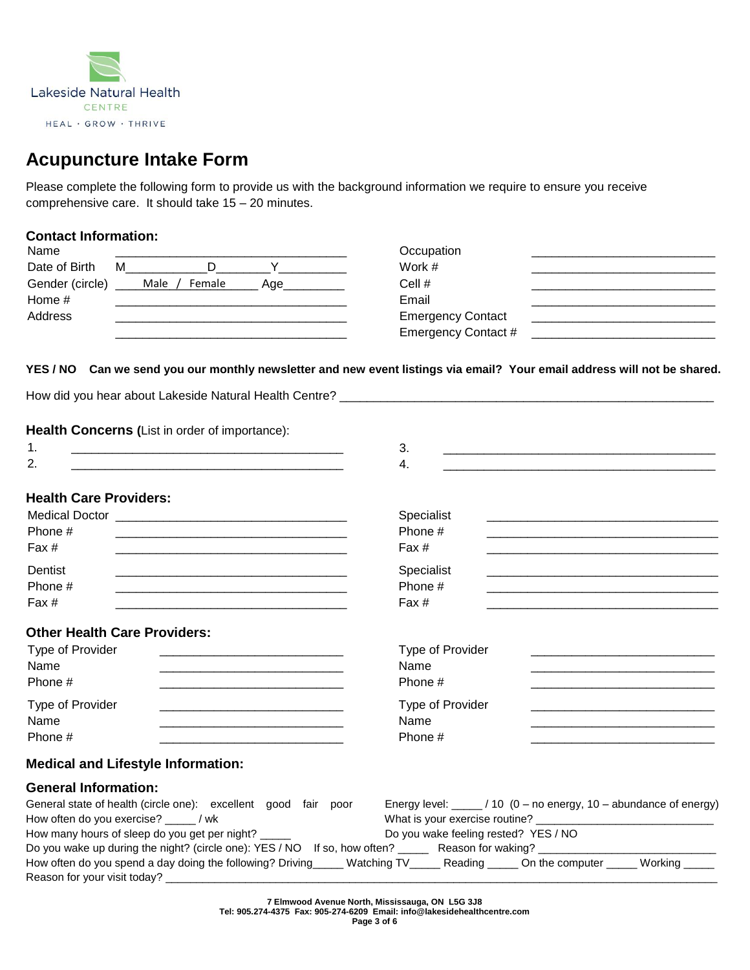

# **Acupuncture Intake Form**

Please complete the following form to provide us with the background information we require to ensure you receive comprehensive care. It should take 15 – 20 minutes.

### **Contact Information:**

| Name            |               |     | Occupation               |  |
|-----------------|---------------|-----|--------------------------|--|
| Date of Birth   | М             |     | Work $#$                 |  |
| Gender (circle) | Male / Female | Aae | Cell #                   |  |
| Home #          |               |     | Email                    |  |
| Address         |               |     | <b>Emergency Contact</b> |  |
|                 |               |     | Emergency Contact #      |  |

### **YES / NO Can we send you our monthly newsletter and new event listings via email? Your email address will not be shared.**

| Health Concerns (List in order of importance):                                                                                                                                                                                                                                                                                                                                                                                         |                                                                                                                      |
|----------------------------------------------------------------------------------------------------------------------------------------------------------------------------------------------------------------------------------------------------------------------------------------------------------------------------------------------------------------------------------------------------------------------------------------|----------------------------------------------------------------------------------------------------------------------|
| 1.                                                                                                                                                                                                                                                                                                                                                                                                                                     | 3.                                                                                                                   |
| 2.                                                                                                                                                                                                                                                                                                                                                                                                                                     | 4.                                                                                                                   |
| <b>Health Care Providers:</b>                                                                                                                                                                                                                                                                                                                                                                                                          |                                                                                                                      |
|                                                                                                                                                                                                                                                                                                                                                                                                                                        | <b>Specialist</b>                                                                                                    |
| Phone #                                                                                                                                                                                                                                                                                                                                                                                                                                | Phone #                                                                                                              |
| Fax #<br><u> 1980 - Johann Barn, amerikan besteman besteman besteman besteman besteman besteman besteman besteman besteman</u>                                                                                                                                                                                                                                                                                                         | Fax#                                                                                                                 |
| Dentist                                                                                                                                                                                                                                                                                                                                                                                                                                | <b>Specialist</b>                                                                                                    |
| Phone #                                                                                                                                                                                                                                                                                                                                                                                                                                | Phone #                                                                                                              |
| Fax #                                                                                                                                                                                                                                                                                                                                                                                                                                  | Fax #                                                                                                                |
| <b>Other Health Care Providers:</b><br>Type of Provider<br><u> 1989 - Johann Barbara, margaret eta idazlea (h. 1989).</u><br>Name<br>Phone #                                                                                                                                                                                                                                                                                           | Type of Provider<br><u> 1980 - Johann Barbara, martxa al III-lea (h. 1980).</u><br>Name<br>Phone #                   |
| Type of Provider                                                                                                                                                                                                                                                                                                                                                                                                                       | Type of Provider                                                                                                     |
| Name<br>Phone #                                                                                                                                                                                                                                                                                                                                                                                                                        | Name<br>Phone #                                                                                                      |
| <b>Medical and Lifestyle Information:</b>                                                                                                                                                                                                                                                                                                                                                                                              |                                                                                                                      |
| <b>General Information:</b><br>General state of health (circle one): excellent good fair poor<br>How often do you exercise? ____/ wk<br>How many hours of sleep do you get per night? _____<br>Do you wake up during the night? (circle one): YES / NO If so, how often? ______ Reason for waking?<br>How often do you spend a day doing the following? Driving_____ Watching TV_____ Reading _____ On the computer _____ Working ____ | Energy level: $\frac{1}{100}$ / 10 (0 – no energy, 10 – abundance of energy)<br>Do you wake feeling rested? YES / NO |
| Reason for your visit today?                                                                                                                                                                                                                                                                                                                                                                                                           |                                                                                                                      |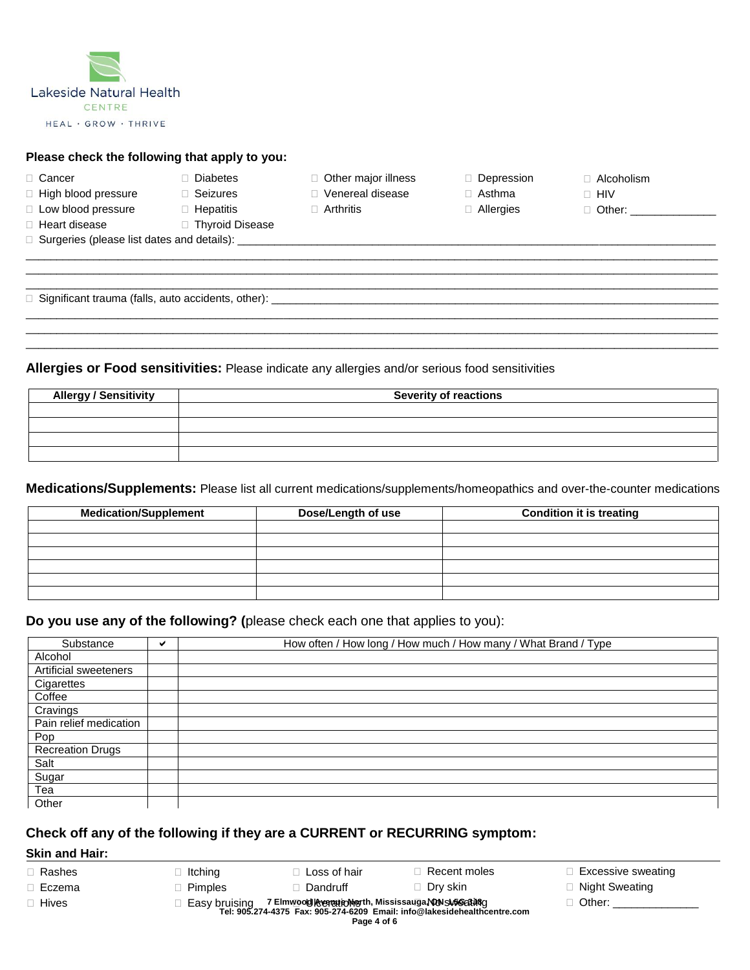

#### **Please check the following that apply to you:**

- □ Cancer
- $\Box$  High blood pressure Diabetes Seizures
- D Low blood pressure **Hepatitis** 
	- □ Thyroid Disease
- Heart disease

 $\Box$  Surgeries (please list dates and details):  $\Box$ 

 $\Box$  Significant trauma (falls, auto accidents, other):  $\Box$ 

### **Allergies or Food sensitivities:** Please indicate any allergies and/or serious food sensitivities

| <b>Allergy / Sensitivity</b> | <b>Severity of reactions</b> |
|------------------------------|------------------------------|
|                              |                              |
|                              |                              |
|                              |                              |
|                              |                              |

\_\_\_\_\_\_\_\_\_\_\_\_\_\_\_\_\_\_\_\_\_\_\_\_\_\_\_\_\_\_\_\_\_\_\_\_\_\_\_\_\_\_\_\_\_\_\_\_\_\_\_\_\_\_\_\_\_\_\_\_\_\_\_\_\_\_\_\_\_\_\_\_\_\_\_\_\_\_\_\_\_\_\_\_\_\_\_\_\_\_\_\_\_\_\_\_\_\_\_\_\_\_\_\_\_\_\_\_\_\_\_\_\_ \_\_\_\_\_\_\_\_\_\_\_\_\_\_\_\_\_\_\_\_\_\_\_\_\_\_\_\_\_\_\_\_\_\_\_\_\_\_\_\_\_\_\_\_\_\_\_\_\_\_\_\_\_\_\_\_\_\_\_\_\_\_\_\_\_\_\_\_\_\_\_\_\_\_\_\_\_\_\_\_\_\_\_\_\_\_\_\_\_\_\_\_\_\_\_\_\_\_\_\_\_\_\_\_\_\_\_\_\_\_\_\_\_ \_\_\_\_\_\_\_\_\_\_\_\_\_\_\_\_\_\_\_\_\_\_\_\_\_\_\_\_\_\_\_\_\_\_\_\_\_\_\_\_\_\_\_\_\_\_\_\_\_\_\_\_\_\_\_\_\_\_\_\_\_\_\_\_\_\_\_\_\_\_\_\_\_\_\_\_\_\_\_\_\_\_\_\_\_\_\_\_\_\_\_\_\_\_\_\_\_\_\_\_\_\_\_\_\_\_\_\_\_\_\_\_\_

□ Other major illness Venereal disease

Arthritis

\_\_\_\_\_\_\_\_\_\_\_\_\_\_\_\_\_\_\_\_\_\_\_\_\_\_\_\_\_\_\_\_\_\_\_\_\_\_\_\_\_\_\_\_\_\_\_\_\_\_\_\_\_\_\_\_\_\_\_\_\_\_\_\_\_\_\_\_\_\_\_\_\_\_\_\_\_\_\_\_\_\_\_\_\_\_\_\_\_\_\_\_\_\_\_\_\_\_\_\_\_\_\_\_\_\_\_\_\_\_\_\_\_ \_\_\_\_\_\_\_\_\_\_\_\_\_\_\_\_\_\_\_\_\_\_\_\_\_\_\_\_\_\_\_\_\_\_\_\_\_\_\_\_\_\_\_\_\_\_\_\_\_\_\_\_\_\_\_\_\_\_\_\_\_\_\_\_\_\_\_\_\_\_\_\_\_\_\_\_\_\_\_\_\_\_\_\_\_\_\_\_\_\_\_\_\_\_\_\_\_\_\_\_\_\_\_\_\_\_\_\_\_\_\_\_\_ \_\_\_\_\_\_\_\_\_\_\_\_\_\_\_\_\_\_\_\_\_\_\_\_\_\_\_\_\_\_\_\_\_\_\_\_\_\_\_\_\_\_\_\_\_\_\_\_\_\_\_\_\_\_\_\_\_\_\_\_\_\_\_\_\_\_\_\_\_\_\_\_\_\_\_\_\_\_\_\_\_\_\_\_\_\_\_\_\_\_\_\_\_\_\_\_\_\_\_\_\_\_\_\_\_\_\_\_\_\_\_\_\_

**Medications/Supplements:** Please list all current medications/supplements/homeopathics and over-the-counter medications

| <b>Medication/Supplement</b> | Dose/Length of use | <b>Condition it is treating</b> |
|------------------------------|--------------------|---------------------------------|
|                              |                    |                                 |
|                              |                    |                                 |
|                              |                    |                                 |
|                              |                    |                                 |
|                              |                    |                                 |
|                              |                    |                                 |

### **Do you use any of the following? (**please check each one that applies to you):

| Substance               | ✓ | How often / How long / How much / How many / What Brand / Type |
|-------------------------|---|----------------------------------------------------------------|
| Alcohol                 |   |                                                                |
| Artificial sweeteners   |   |                                                                |
| Cigarettes              |   |                                                                |
| Coffee                  |   |                                                                |
| Cravings                |   |                                                                |
| Pain relief medication  |   |                                                                |
| Pop                     |   |                                                                |
| <b>Recreation Drugs</b> |   |                                                                |
| Salt                    |   |                                                                |
| Sugar                   |   |                                                                |
| Tea                     |   |                                                                |
| Other                   |   |                                                                |

### **Check off any of the following if they are a CURRENT or RECURRING symptom:**

 $\Box$  Itching

#### **Skin and Hair:**

Rashes

□ Hives

□ Eczema

- D Loss of hair
- Recent moles
- □ Excessive sweating
	- □ Night Sweating
	- $\Box$  Other:
- 7 Elmwoo**l keemu te No**rth, Mississauga **NON swee**ad weg **Tel: 905.274-4375 Fax: 905-274-6209 Email: info@lakesidehealthcentre.com** Pimples □ Easy bruising Dandruff Dry skin
- Alcoholism
- D HIV

Depression Asthma Allergies

 $\Box$  Other:  $\Box$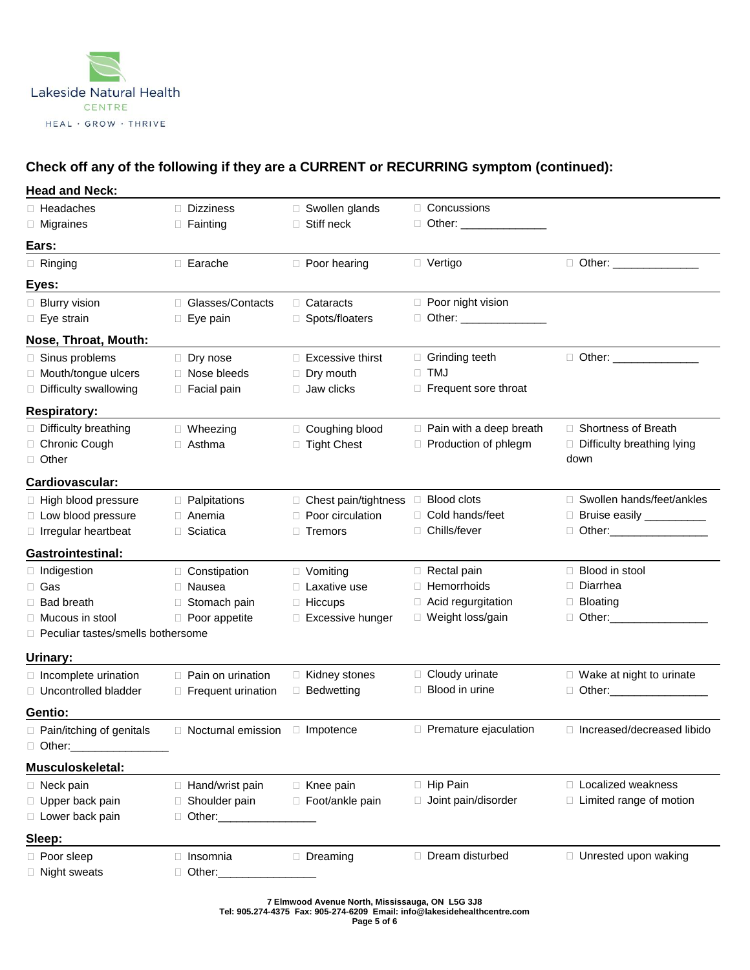

## **Check off any of the following if they are a CURRENT or RECURRING symptom (continued):**

| <b>Head and Neck:</b>               |                           |                             |                                |                                   |
|-------------------------------------|---------------------------|-----------------------------|--------------------------------|-----------------------------------|
| □ Headaches                         | Dizziness                 | □ Swollen glands            | □ Concussions                  |                                   |
| $\Box$ Migraines                    | $\Box$ Fainting           | $\Box$ Stiff neck           | □ Other: ______________        |                                   |
| Ears:                               |                           |                             |                                |                                   |
| $\Box$ Ringing                      | □ Earache                 | $\Box$ Poor hearing         | □ Vertigo                      | □ Other: _______________          |
| Eyes:                               |                           |                             |                                |                                   |
| <b>Blurry vision</b>                | □ Glasses/Contacts        | $\Box$ Cataracts            | D Poor night vision            |                                   |
| $\Box$ Eye strain                   | $\Box$ Eye pain           | □ Spots/floaters            | D Other: _________________     |                                   |
| Nose, Throat, Mouth:                |                           |                             |                                |                                   |
| $\Box$ Sinus problems               | $\Box$ Dry nose           | $\Box$ Excessive thirst     | $\Box$ Grinding teeth          | $\Box$ Other:                     |
| □ Mouth/tongue ulcers               | $\Box$ Nose bleeds        | $\Box$ Dry mouth            | $\Box$ TMJ                     |                                   |
| Difficulty swallowing               | $\Box$ Facial pain        | $\Box$ Jaw clicks           | $\Box$ Frequent sore throat    |                                   |
| <b>Respiratory:</b>                 |                           |                             |                                |                                   |
| Difficulty breathing                | $\Box$ Wheezing           | □ Coughing blood            | $\Box$ Pain with a deep breath | □ Shortness of Breath             |
| □ Chronic Cough                     | $\Box$ Asthma             | □ Tight Chest               | □ Production of phlegm         | Difficulty breathing lying        |
| □ Other                             |                           |                             |                                | down                              |
| <b>Cardiovascular:</b>              |                           |                             |                                |                                   |
| □ High blood pressure               | $\Box$ Palpitations       | $\Box$ Chest pain/tightness | □ Blood clots                  | □ Swollen hands/feet/ankles       |
| □ Low blood pressure                | $\Box$ Anemia             | Poor circulation            | □ Cold hands/feet              | Bruise easily __________          |
| □ Irregular heartbeat               | $\Box$ Sciatica           | $\Box$ Tremors              | □ Chills/fever                 |                                   |
| Gastrointestinal:                   |                           |                             |                                |                                   |
| $\Box$ Indigestion                  | $\Box$ Constipation       | $\Box$ Vomiting             | Rectal pain                    | □ Blood in stool                  |
| □ Gas                               | □ Nausea                  | $\Box$ Laxative use         | □ Hemorrhoids                  | $\Box$ Diarrhea                   |
| □ Bad breath                        | □ Stomach pain            | $\Box$ Hiccups              | □ Acid regurgitation           | <b>Bloating</b>                   |
| $\Box$ Mucous in stool              | $\Box$ Poor appetite      | □ Excessive hunger          | □ Weight loss/gain             |                                   |
| □ Peculiar tastes/smells bothersome |                           |                             |                                |                                   |
| <u> Urinary:</u>                    |                           |                             |                                |                                   |
| $\Box$ Incomplete urination         | $\Box$ Pain on urination  | $\Box$ Kidney stones        | □ Cloudy urinate               | $\Box$ Wake at night to urinate   |
| □ Uncontrolled bladder              | □ Frequent urination      | <b>D</b> Bedwetting         | <b>Blood in urine</b>          | □ Other: _______________          |
| Gentio:                             |                           |                             |                                |                                   |
| □ Pain/itching of genitals          | $\Box$ Nocturnal emission | $\Box$ Impotence            | □ Premature ejaculation        | $\Box$ Increased/decreased libido |
| □ Other:                            |                           |                             |                                |                                   |
| Musculoskeletal:                    |                           |                             |                                |                                   |
| □ Neck pain                         | □ Hand/wrist pain         | $\Box$ Knee pain            | □ Hip Pain                     | $\Box$ Localized weakness         |
| <b>Upper back pain</b>              | □ Shoulder pain           | □ Foot/ankle pain           | Joint pain/disorder            | □ Limited range of motion         |
| D Lower back pain                   | □ Other:____              |                             |                                |                                   |
| Sleep:                              |                           |                             |                                |                                   |
| Poor sleep                          | □ Insomnia                | Dreaming                    | $\Box$ Dream disturbed         | □ Unrested upon waking            |
| $\Box$ Night sweats                 | $\Box$ Other:             |                             |                                |                                   |
|                                     |                           |                             |                                |                                   |

**7 Elmwood Avenue North, Mississauga, ON L5G 3J8**

**Tel: 905.274-4375 Fax: 905-274-6209 Email: info@lakesidehealthcentre.com**